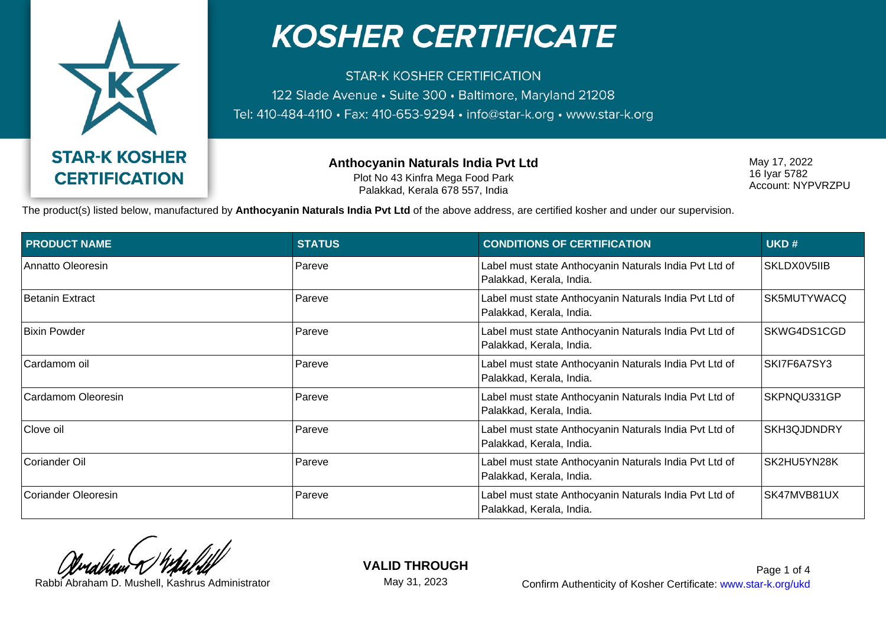

**STAR-K KOSHER CERTIFICATION** 122 Slade Avenue · Suite 300 · Baltimore, Maryland 21208 Tel: 410-484-4110 · Fax: 410-653-9294 · info@star-k.org · www.star-k.org

> **Anthocyanin Naturals India Pvt Ltd** Plot No 43 Kinfra Mega Food Park Palakkad, Kerala 678 557, India

May 17, 2022 16 Iyar 5782 Account: NYPVRZPU

The product(s) listed below, manufactured by **Anthocyanin Naturals India Pvt Ltd** of the above address, are certified kosher and under our supervision.

| <b>PRODUCT NAME</b> | <b>STATUS</b> | <b>CONDITIONS OF CERTIFICATION</b>                                                 | UKD#        |
|---------------------|---------------|------------------------------------------------------------------------------------|-------------|
| Annatto Oleoresin   | Pareve        | Label must state Anthocyanin Naturals India Pvt Ltd of<br>Palakkad, Kerala, India. | SKLDX0V5IIB |
| Betanin Extract     | Pareve        | Label must state Anthocyanin Naturals India Pvt Ltd of<br>Palakkad, Kerala, India. | SK5MUTYWACQ |
| Bixin Powder        | Pareve        | Label must state Anthocyanin Naturals India Pvt Ltd of<br>Palakkad, Kerala, India. | SKWG4DS1CGD |
| Cardamom oil        | Pareve        | Label must state Anthocyanin Naturals India Pvt Ltd of<br>Palakkad, Kerala, India. | SKI7F6A7SY3 |
| Cardamom Oleoresin  | Pareve        | Label must state Anthocyanin Naturals India Pvt Ltd of<br>Palakkad, Kerala, India. | SKPNQU331GP |
| Clove oil           | Pareve        | Label must state Anthocyanin Naturals India Pvt Ltd of<br>Palakkad, Kerala, India. | SKH3QJDNDRY |
| Coriander Oil       | Pareve        | Label must state Anthocyanin Naturals India Pvt Ltd of<br>Palakkad, Kerala, India. | SK2HU5YN28K |
| Coriander Oleoresin | Pareve        | Label must state Anthocyanin Naturals India Pvt Ltd of<br>Palakkad, Kerala, India. | SK47MVB81UX |

**VALID THROUGH** May 31, 2023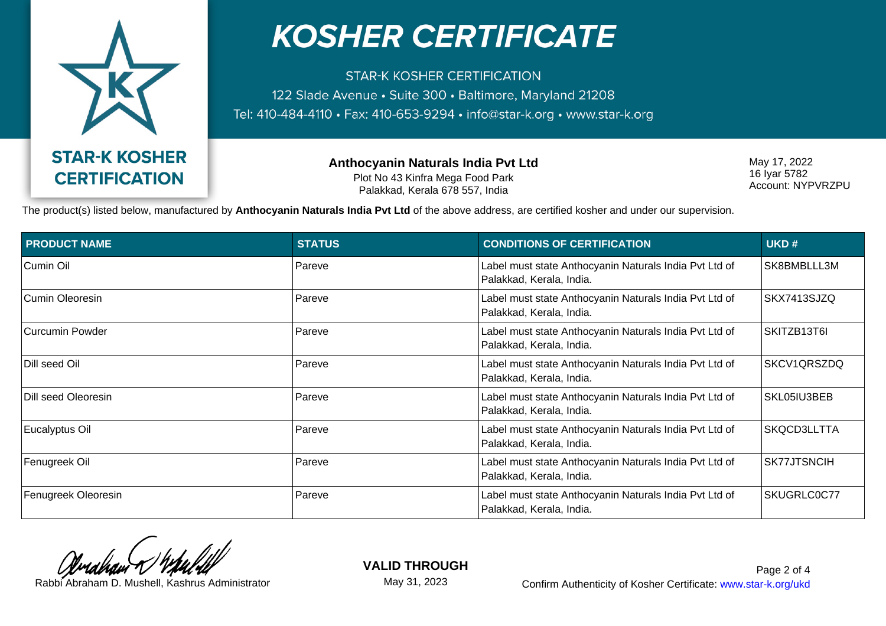

**STAR-K KOSHER CERTIFICATION** 122 Slade Avenue · Suite 300 · Baltimore, Maryland 21208 Tel: 410-484-4110 · Fax: 410-653-9294 · info@star-k.org · www.star-k.org

> **Anthocyanin Naturals India Pvt Ltd** Plot No 43 Kinfra Mega Food Park Palakkad, Kerala 678 557, India

May 17, 2022 16 Iyar 5782 Account: NYPVRZPU

The product(s) listed below, manufactured by **Anthocyanin Naturals India Pvt Ltd** of the above address, are certified kosher and under our supervision.

| <b>PRODUCT NAME</b> | <b>STATUS</b> | <b>CONDITIONS OF CERTIFICATION</b>                                                 | UKD#        |
|---------------------|---------------|------------------------------------------------------------------------------------|-------------|
| Cumin Oil           | Pareve        | Label must state Anthocyanin Naturals India Pvt Ltd of<br>Palakkad, Kerala, India. | SK8BMBLLL3M |
| Cumin Oleoresin     | Pareve        | Label must state Anthocyanin Naturals India Pvt Ltd of<br>Palakkad, Kerala, India. | SKX7413SJZQ |
| Curcumin Powder     | Pareve        | Label must state Anthocyanin Naturals India Pvt Ltd of<br>Palakkad, Kerala, India. | SKITZB13T6I |
| Dill seed Oil       | Pareve        | Label must state Anthocyanin Naturals India Pvt Ltd of<br>Palakkad, Kerala, India. | SKCV1QRSZDQ |
| Dill seed Oleoresin | Pareve        | Label must state Anthocyanin Naturals India Pvt Ltd of<br>Palakkad, Kerala, India. | SKL05IU3BEB |
| Eucalyptus Oil      | Pareve        | Label must state Anthocyanin Naturals India Pvt Ltd of<br>Palakkad, Kerala, India. | SKQCD3LLTTA |
| Fenugreek Oil       | Pareve        | Label must state Anthocyanin Naturals India Pvt Ltd of<br>Palakkad, Kerala, India. | SK77JTSNCIH |
| Fenugreek Oleoresin | Pareve        | Label must state Anthocyanin Naturals India Pvt Ltd of<br>Palakkad, Kerala, India. | SKUGRLC0C77 |

**VALID THROUGH** May 31, 2023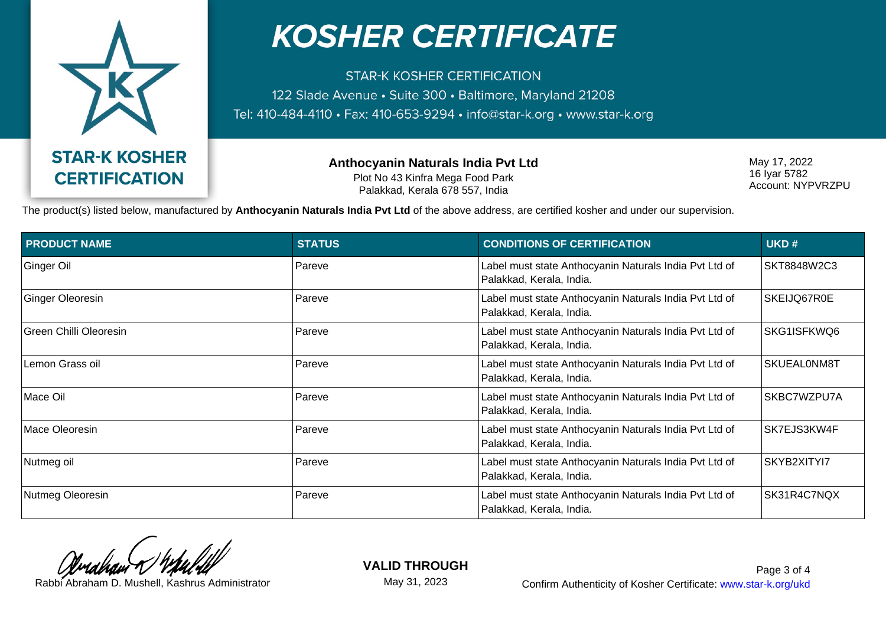

**STAR-K KOSHER CERTIFICATION** 122 Slade Avenue · Suite 300 · Baltimore, Maryland 21208 Tel: 410-484-4110 · Fax: 410-653-9294 · info@star-k.org · www.star-k.org

> **Anthocyanin Naturals India Pvt Ltd** Plot No 43 Kinfra Mega Food Park Palakkad, Kerala 678 557, India

May 17, 2022 16 Iyar 5782 Account: NYPVRZPU

The product(s) listed below, manufactured by **Anthocyanin Naturals India Pvt Ltd** of the above address, are certified kosher and under our supervision.

| <b>PRODUCT NAME</b>    | <b>STATUS</b> | <b>CONDITIONS OF CERTIFICATION</b>                                                 | UKD#        |
|------------------------|---------------|------------------------------------------------------------------------------------|-------------|
| Ginger Oil             | Pareve        | Label must state Anthocyanin Naturals India Pvt Ltd of<br>Palakkad, Kerala, India. | SKT8848W2C3 |
| Ginger Oleoresin       | Pareve        | Label must state Anthocyanin Naturals India Pvt Ltd of<br>Palakkad, Kerala, India. | SKEIJQ67R0E |
| Green Chilli Oleoresin | Pareve        | Label must state Anthocyanin Naturals India Pvt Ltd of<br>Palakkad, Kerala, India. | SKG1ISFKWQ6 |
| Lemon Grass oil        | Pareve        | Label must state Anthocyanin Naturals India Pvt Ltd of<br>Palakkad, Kerala, India. | SKUEAL0NM8T |
| Mace Oil               | Pareve        | Label must state Anthocyanin Naturals India Pvt Ltd of<br>Palakkad, Kerala, India. | SKBC7WZPU7A |
| Mace Oleoresin         | Pareve        | Label must state Anthocyanin Naturals India Pvt Ltd of<br>Palakkad, Kerala, India. | SK7EJS3KW4F |
| Nutmeg oil             | Pareve        | Label must state Anthocyanin Naturals India Pvt Ltd of<br>Palakkad, Kerala, India. | SKYB2XITYI7 |
| Nutmeg Oleoresin       | Pareve        | Label must state Anthocyanin Naturals India Pvt Ltd of<br>Palakkad, Kerala, India. | SK31R4C7NQX |

**VALID THROUGH**